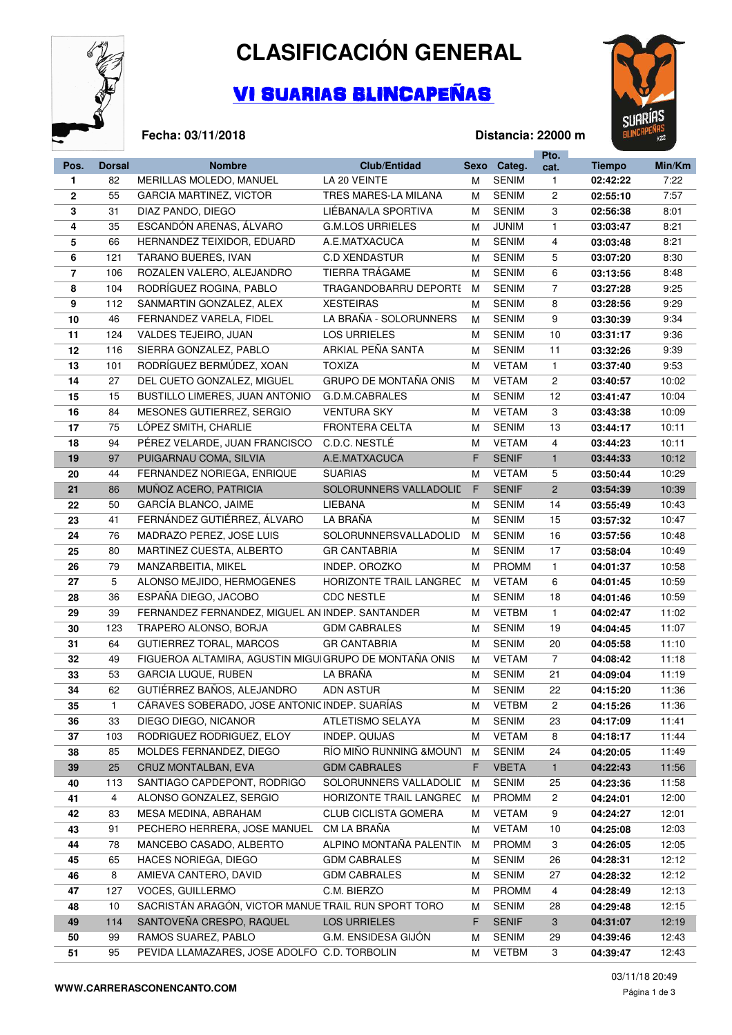

**Fecha: 03/11/2018**

## **CLASIFICACIÓN GENERAL**

## VI SUARIAS BLINCAPEÑAS



## **Distancia: 22000 m**

|                |               |                                                       |                              |        |              | Pto.           |               |        |
|----------------|---------------|-------------------------------------------------------|------------------------------|--------|--------------|----------------|---------------|--------|
| Pos.           | <b>Dorsal</b> | <b>Nombre</b>                                         | <b>Club/Entidad</b>          |        | Sexo Categ.  | cat.           | <b>Tiempo</b> | Min/Km |
| 1.             | 82            | MERILLAS MOLEDO, MANUEL                               | LA 20 VEINTE                 | м      | <b>SENIM</b> | $\mathbf{1}$   | 02:42:22      | 7:22   |
| $\mathbf{2}$   | 55            | GARCIA MARTINEZ, VICTOR                               | TRES MARES-LA MILANA         | М      | <b>SENIM</b> | 2              | 02:55:10      | 7:57   |
| 3              | 31            | DIAZ PANDO, DIEGO                                     | LIEBANA/LA SPORTIVA          | М      | <b>SENIM</b> | 3              | 02:56:38      | 8:01   |
| 4              | 35            | ESCANDÓN ARENAS, ÁLVARO                               | <b>G.M.LOS URRIELES</b>      | М      | <b>JUNIM</b> | $\mathbf{1}$   | 03:03:47      | 8:21   |
| 5              | 66            | HERNANDEZ TEIXIDOR, EDUARD                            | A.E.MATXACUCA                | М      | <b>SENIM</b> | 4              | 03:03:48      | 8:21   |
| 6              | 121           | TARANO BUERES, IVAN                                   | <b>C.D XENDASTUR</b>         | М      | <b>SENIM</b> | 5              | 03:07:20      | 8:30   |
| $\overline{7}$ | 106           | ROZALEN VALERO, ALEJANDRO                             | TIERRA TRÁGAME               | М      | <b>SENIM</b> | 6              | 03:13:56      | 8:48   |
| 8              | 104           | RODRÍGUEZ ROGINA, PABLO                               | TRAGANDOBARRU DEPORTI        | M      | <b>SENIM</b> | $\overline{7}$ | 03:27:28      | 9:25   |
| 9              | 112           | SANMARTIN GONZALEZ, ALEX                              | <b>XESTEIRAS</b>             | М      | <b>SENIM</b> | 8              | 03:28:56      | 9:29   |
| 10             | 46            | FERNANDEZ VARELA, FIDEL                               | LA BRAÑA - SOLORUNNERS       | М      | <b>SENIM</b> | 9              | 03:30:39      | 9:34   |
| 11             | 124           | VALDES TEJEIRO, JUAN                                  | <b>LOS URRIELES</b>          | М      | <b>SENIM</b> | 10             | 03:31:17      | 9:36   |
| 12             | 116           | SIERRA GONZALEZ, PABLO                                | ARKIAL PEÑA SANTA            | м      | <b>SENIM</b> | 11             | 03:32:26      | 9:39   |
| 13             | 101           | RODRÍGUEZ BERMÚDEZ, XOAN                              | <b>TOXIZA</b>                | м      | <b>VETAM</b> | $\mathbf{1}$   | 03:37:40      | 9:53   |
| 14             | 27            | DEL CUETO GONZALEZ, MIGUEL                            | <b>GRUPO DE MONTAÑA ONIS</b> | М      | <b>VETAM</b> | $\overline{2}$ | 03:40:57      | 10:02  |
| 15             | 15            | BUSTILLO LIMERES, JUAN ANTONIO                        | G.D.M.CABRALES               | м      | <b>SENIM</b> | 12             | 03:41:47      | 10:04  |
| 16             | 84            | MESONES GUTIERREZ, SERGIO                             | <b>VENTURA SKY</b>           | м      | <b>VETAM</b> | 3              | 03:43:38      | 10:09  |
| 17             | 75            | LÓPEZ SMITH, CHARLIE                                  | <b>FRONTERA CELTA</b>        | м      | <b>SENIM</b> | 13             | 03:44:17      | 10:11  |
| 18             | 94            | PÉREZ VELARDE, JUAN FRANCISCO                         | C.D.C. NESTLÉ                | М      | <b>VETAM</b> | 4              | 03:44:23      | 10:11  |
| 19             | 97            | PUIGARNAU COMA, SILVIA                                | A.E.MATXACUCA                | F      | <b>SENIF</b> | $\mathbf{1}$   | 03:44:33      | 10:12  |
| 20             | 44            | FERNANDEZ NORIEGA, ENRIQUE                            | <b>SUARIAS</b>               | М      | <b>VETAM</b> | 5              | 03:50:44      | 10:29  |
| 21             | 86            | MUÑOZ ACERO, PATRICIA                                 | SOLORUNNERS VALLADOLID       | F      | <b>SENIF</b> | $\overline{2}$ | 03:54:39      | 10:39  |
| 22             | 50            | GARCÍA BLANCO, JAIME                                  | LIEBANA                      |        | <b>SENIM</b> | 14             |               | 10:43  |
|                | 41            | FERNÁNDEZ GUTIÉRREZ, ÁLVARO                           | LA BRAÑA                     | М<br>М | <b>SENIM</b> | 15             | 03:55:49      | 10:47  |
| 23             | 76            |                                                       |                              |        |              |                | 03:57:32      |        |
| 24             |               | MADRAZO PEREZ, JOSE LUIS                              | SOLORUNNERSVALLADOLID        | М      | <b>SENIM</b> | 16             | 03:57:56      | 10:48  |
| 25             | 80            | MARTINEZ CUESTA, ALBERTO                              | <b>GR CANTABRIA</b>          | м      | <b>SENIM</b> | 17             | 03:58:04      | 10:49  |
| 26             | 79            | MANZARBEITIA, MIKEL                                   | INDEP. OROZKO                | М      | <b>PROMM</b> | $\mathbf{1}$   | 04:01:37      | 10:58  |
| 27             | 5             | ALONSO MEJIDO, HERMOGENES                             | HORIZONTE TRAIL LANGREC      | М      | <b>VETAM</b> | 6              | 04:01:45      | 10:59  |
| 28             | 36            | ESPAÑA DIEGO, JACOBO                                  | <b>CDC NESTLE</b>            | М      | <b>SENIM</b> | 18             | 04:01:46      | 10:59  |
| 29             | 39            | FERNANDEZ FERNANDEZ, MIGUEL AN INDEP. SANTANDER       |                              | М      | <b>VETBM</b> | $\mathbf{1}$   | 04:02:47      | 11:02  |
| 30             | 123           | TRAPERO ALONSO, BORJA                                 | <b>GDM CABRALES</b>          | М      | <b>SENIM</b> | 19             | 04:04:45      | 11:07  |
| 31             | 64            | GUTIERREZ TORAL, MARCOS                               | <b>GR CANTABRIA</b>          | м      | <b>SENIM</b> | 20             | 04:05:58      | 11:10  |
| 32             | 49            | FIGUEROA ALTAMIRA, AGUSTIN MIGUIGRUPO DE MONTAÑA ONIS |                              | м      | <b>VETAM</b> | $\overline{7}$ | 04:08:42      | 11:18  |
| 33             | 53            | <b>GARCIA LUQUE, RUBEN</b>                            | LA BRAÑA                     | м      | <b>SENIM</b> | 21             | 04:09:04      | 11:19  |
| 34             | 62            | GUTIÉRREZ BAÑOS, ALEJANDRO                            | <b>ADN ASTUR</b>             | М      | <b>SENIM</b> | 22             | 04:15:20      | 11:36  |
| 35             | 1             | CÁRAVES SOBERADO, JOSE ANTONIC INDEP. SUARÍAS         |                              | М      | <b>VETBM</b> | 2              | 04:15:26      | 11:36  |
| 36             | 33            | DIEGO DIEGO, NICANOR                                  | ATLETISMO SELAYA             | М      | <b>SENIM</b> | 23             | 04:17:09      | 11:41  |
| 37             | 103           | RODRIGUEZ RODRIGUEZ, ELOY                             | INDEP. QUIJAS                | М      | <b>VETAM</b> | 8              | 04:18:17      | 11:44  |
| 38             | 85            | MOLDES FERNANDEZ, DIEGO                               | RÍO MIÑO RUNNING & MOUNT     | м      | <b>SENIM</b> | 24             | 04:20:05      | 11:49  |
| 39             | 25            | CRUZ MONTALBAN, EVA                                   | <b>GDM CABRALES</b>          | F.     | <b>VBETA</b> | $\mathbf{1}$   | 04:22:43      | 11:56  |
| 40             | 113           | SANTIAGO CAPDEPONT, RODRIGO                           | SOLORUNNERS VALLADOLIE       | M      | <b>SENIM</b> | 25             | 04:23:36      | 11:58  |
| 41             | 4             | ALONSO GONZALEZ, SERGIO                               | HORIZONTE TRAIL LANGREC      | М      | <b>PROMM</b> | 2              | 04:24:01      | 12:00  |
| 42             | 83            | MESA MEDINA, ABRAHAM                                  | <b>CLUB CICLISTA GOMERA</b>  | М      | <b>VETAM</b> | 9              | 04:24:27      | 12:01  |
| 43             | 91            | PECHERO HERRERA, JOSE MANUEL                          | CM LA BRAÑA                  | м      | <b>VETAM</b> | 10             | 04:25:08      | 12:03  |
| 44             | 78            | MANCEBO CASADO, ALBERTO                               | ALPINO MONTAÑA PALENTIN      | М      | <b>PROMM</b> | 3              | 04:26:05      | 12:05  |
| 45             | 65            | HACES NORIEGA, DIEGO                                  | <b>GDM CABRALES</b>          | М      | <b>SENIM</b> | 26             | 04:28:31      | 12:12  |
| 46             | 8             | AMIEVA CANTERO, DAVID                                 | <b>GDM CABRALES</b>          | M      | <b>SENIM</b> | 27             | 04:28:32      | 12:12  |
| 47             | 127           | <b>VOCES, GUILLERMO</b>                               | C.M. BIERZO                  | м      | <b>PROMM</b> | 4              | 04:28:49      | 12:13  |
| 48             | 10            | SACRISTÁN ARAGÓN, VICTOR MANUE TRAIL RUN SPORT TORO   |                              | м      | <b>SENIM</b> | 28             | 04:29:48      | 12:15  |
| 49             | 114           | SANTOVEÑA CRESPO, RAQUEL                              | <b>LOS URRIELES</b>          | F      | <b>SENIF</b> | $\mathbf{3}$   | 04:31:07      | 12:19  |
| 50             | 99            | RAMOS SUAREZ, PABLO                                   | G.M. ENSIDESA GIJON          | М      | <b>SENIM</b> | 29             | 04:39:46      | 12:43  |
| 51             | 95            | PEVIDA LLAMAZARES, JOSE ADOLFO C.D. TORBOLIN          |                              | М      | <b>VETBM</b> | 3              | 04:39:47      | 12:43  |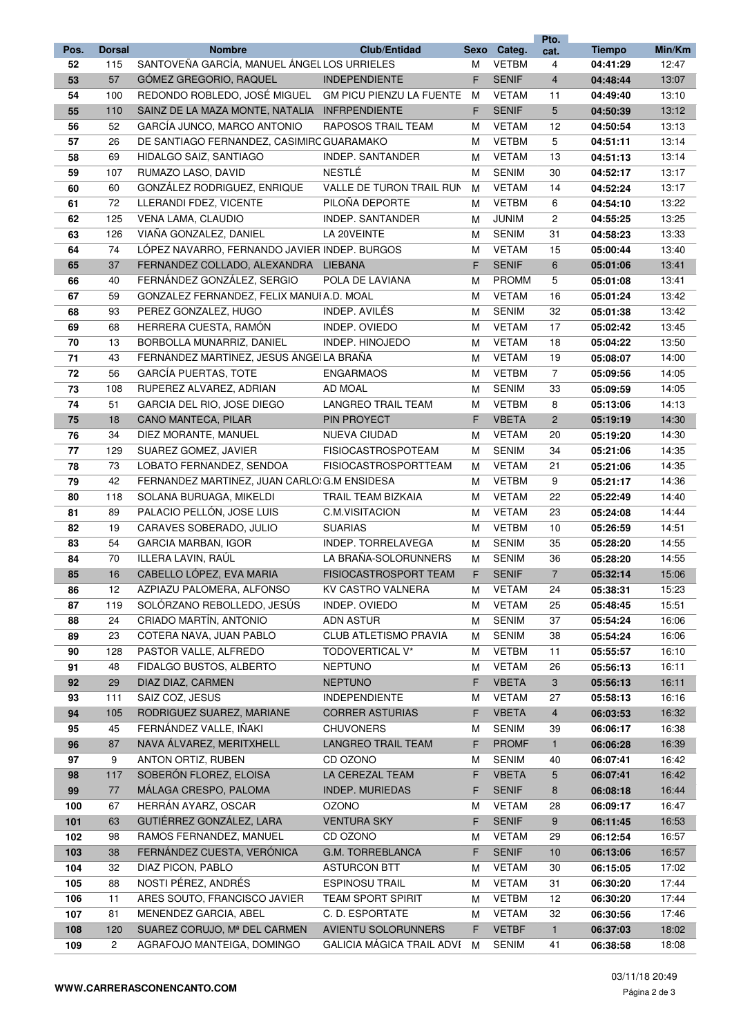|      |               |                                               |                                 |      |              | Pto.           |               |        |
|------|---------------|-----------------------------------------------|---------------------------------|------|--------------|----------------|---------------|--------|
| Pos. | <b>Dorsal</b> | <b>Nombre</b>                                 | <b>Club/Entidad</b>             | Sexo | Categ.       | cat.           | <b>Tiempo</b> | Min/Km |
| 52   | 115           | SANTOVEÑA GARCÍA, MANUEL ÁNGEL LOS URRIELES   |                                 | M    | <b>VETBM</b> | 4              | 04:41:29      | 12:47  |
| 53   | 57            | GÓMEZ GREGORIO, RAQUEL                        | <b>INDEPENDIENTE</b>            | F.   | <b>SENIF</b> | $\overline{4}$ | 04:48:44      | 13:07  |
| 54   | 100           | REDONDO ROBLEDO, JOSÉ MIGUEL                  | <b>GM PICU PIENZU LA FUENTE</b> | м    | <b>VETAM</b> | 11             | 04:49:40      | 13:10  |
| 55   | 110           | SAINZ DE LA MAZA MONTE, NATALIA INFRPENDIENTE |                                 | F    | <b>SENIF</b> | 5              | 04:50:39      | 13:12  |
| 56   | 52            | GARCÍA JUNCO, MARCO ANTONIO                   | RAPOSOS TRAIL TEAM              | M    | <b>VETAM</b> | 12             | 04:50:54      | 13:13  |
| 57   | 26            | DE SANTIAGO FERNANDEZ, CASIMIRC GUARAMAKO     |                                 | м    | <b>VETBM</b> | 5              | 04:51:11      | 13:14  |
| 58   | 69            | HIDALGO SAIZ, SANTIAGO                        | INDEP. SANTANDER                | м    | <b>VETAM</b> | 13             | 04:51:13      | 13:14  |
| 59   | 107           | RUMAZO LASO, DAVID                            | NESTLÉ                          | м    | <b>SENIM</b> | 30             | 04:52:17      | 13:17  |
| 60   | 60            | GONZÁLEZ RODRIGUEZ, ENRIQUE                   | VALLE DE TURON TRAIL RUN        | м    | <b>VETAM</b> | 14             | 04:52:24      | 13:17  |
| 61   | 72            | LLERANDI FDEZ, VICENTE                        | PILOÑA DEPORTE                  | м    | <b>VETBM</b> | 6              | 04:54:10      | 13:22  |
| 62   | 125           | VENA LAMA, CLAUDIO                            | INDEP. SANTANDER                | м    | <b>JUNIM</b> | 2              | 04:55:25      | 13:25  |
| 63   | 126           | VIAÑA GONZALEZ, DANIEL                        | LA 20VEINTE                     | M    | <b>SENIM</b> | 31             | 04:58:23      | 13:33  |
| 64   | 74            | LÓPEZ NAVARRO, FERNANDO JAVIER INDEP. BURGOS  |                                 | м    | <b>VETAM</b> | 15             | 05:00:44      | 13:40  |
| 65   | 37            | FERNANDEZ COLLADO, ALEXANDRA LIEBANA          |                                 | F    | <b>SENIF</b> | 6              | 05:01:06      | 13:41  |
| 66   | 40            | FERNÁNDEZ GONZÁLEZ, SERGIO                    | POLA DE LAVIANA                 | M    | <b>PROMM</b> | 5              | 05:01:08      | 13:41  |
| 67   | 59            | GONZALEZ FERNANDEZ, FELIX MANUI A.D. MOAL     |                                 | M    | <b>VETAM</b> | 16             | 05:01:24      | 13:42  |
| 68   | 93            | PEREZ GONZALEZ, HUGO                          | INDEP. AVILÉS                   | м    | <b>SENIM</b> | 32             | 05:01:38      | 13:42  |
| 69   | 68            | HERRERA CUESTA, RAMÓN                         | INDEP. OVIEDO                   | м    | <b>VETAM</b> | 17             | 05:02:42      | 13:45  |
| 70   | 13            | BORBOLLA MUNARRIZ, DANIEL                     | <b>INDEP. HINOJEDO</b>          | м    | <b>VETAM</b> | 18             | 05:04:22      | 13:50  |
| 71   | 43            | FERNÁNDEZ MARTÍNEZ, JESÚS ÁNGEILA BRAÑA       |                                 | м    | <b>VETAM</b> | 19             | 05:08:07      | 14:00  |
| 72   | 56            | <b>GARCÍA PUERTAS, TOTE</b>                   | <b>ENGARMAOS</b>                | M    | <b>VETBM</b> | $\overline{7}$ | 05:09:56      | 14:05  |
| 73   | 108           | RUPEREZ ALVAREZ, ADRIAN                       | AD MOAL                         | M    | <b>SENIM</b> | 33             | 05:09:59      | 14:05  |
| 74   | 51            | GARCIA DEL RIO, JOSE DIEGO                    | <b>LANGREO TRAIL TEAM</b>       | м    | <b>VETBM</b> | 8              | 05:13:06      | 14:13  |
| 75   | 18            | CANO MANTECA, PILAR                           | <b>PIN PROYECT</b>              | F.   | <b>VBETA</b> | $\overline{2}$ | 05:19:19      | 14:30  |
| 76   | 34            | DIEZ MORANTE, MANUEL                          | <b>NUEVA CIUDAD</b>             | м    | <b>VETAM</b> | 20             | 05:19:20      | 14:30  |
| 77   | 129           | SUAREZ GOMEZ, JAVIER                          | <b>FISIOCASTROSPOTEAM</b>       | м    | <b>SENIM</b> | 34             | 05:21:06      | 14:35  |
| 78   | 73            | LOBATO FERNANDEZ, SENDOA                      | <b>FISIOCASTROSPORTTEAM</b>     | м    | <b>VETAM</b> | 21             | 05:21:06      | 14:35  |
| 79   | 42            | FERNANDEZ MARTINEZ, JUAN CARLO: G.M ENSIDESA  |                                 | м    | <b>VETBM</b> | 9              | 05:21:17      | 14:36  |
| 80   | 118           | SOLANA BURUAGA, MIKELDI                       | TRAIL TEAM BIZKAIA              | м    | <b>VETAM</b> | 22             | 05:22:49      | 14:40  |
| 81   | 89            | PALACIO PELLÓN, JOSE LUIS                     | C.M.VISITACION                  | м    | <b>VETAM</b> | 23             | 05:24:08      | 14:44  |
| 82   | 19            | CARAVES SOBERADO, JULIO                       | <b>SUARIAS</b>                  | м    | <b>VETBM</b> | 10             | 05:26:59      | 14:51  |
| 83   | 54            | <b>GARCIA MARBAN, IGOR</b>                    | INDEP. TORRELAVEGA              | M    | <b>SENIM</b> | 35             | 05:28:20      | 14:55  |
| 84   | 70            | ILLERA LAVIN, RAÚL                            | LA BRAÑA-SOLORUNNERS            | м    | <b>SENIM</b> | 36             | 05:28:20      | 14:55  |
| 85   | 16            | CABELLO LÓPEZ, EVA MARIA                      | FISIOCASTROSPORT TEAM           | F.   | <b>SENIF</b> | $\overline{7}$ | 05:32:14      | 15:06  |
| 86   | 12            | AZPIAZU PALOMERA, ALFONSO                     | KV CASTRO VALNERA               | м    | <b>VETAM</b> | 24             | 05:38:31      | 15:23  |
| 87   | 119           | SOLÓRZANO REBOLLEDO, JESÚS                    | INDEP. OVIEDO                   | М    | <b>VETAM</b> | 25             | 05:48:45      | 15:51  |
| 88   | 24            | CRIADO MARTÍN, ANTONIO                        | ADN ASTUR                       | м    | <b>SENIM</b> | 37             | 05:54:24      | 16:06  |
| 89   | 23            | COTERA NAVA, JUAN PABLO                       | CLUB ATLETISMO PRAVIA           | M    | <b>SENIM</b> | 38             | 05:54:24      | 16:06  |
| 90   | 128           | PASTOR VALLE, ALFREDO                         | TODOVERTICAL V*                 | M    | <b>VETBM</b> | 11             | 05:55:57      | 16:10  |
| 91   | 48            | FIDALGO BUSTOS, ALBERTO                       | <b>NEPTUNO</b>                  | м    | <b>VETAM</b> | 26             | 05:56:13      | 16:11  |
| 92   | 29            | DIAZ DIAZ, CARMEN                             | <b>NEPTUNO</b>                  | F.   | <b>VBETA</b> | 3              | 05:56:13      | 16:11  |
| 93   | 111           | SAIZ COZ, JESUS                               | <b>INDEPENDIENTE</b>            | M    | <b>VETAM</b> | 27             | 05:58:13      | 16:16  |
| 94   | 105           | RODRIGUEZ SUAREZ, MARIANE                     | <b>CORRER ASTURIAS</b>          | F    | <b>VBETA</b> | $\overline{4}$ | 06:03:53      | 16:32  |
| 95   | 45            | FERNÁNDEZ VALLE, IÑAKI                        | <b>CHUVONERS</b>                | м    | <b>SENIM</b> | 39             | 06:06:17      | 16:38  |
| 96   | 87            | NAVA ÁLVAREZ, MERITXHELL                      | <b>LANGREO TRAIL TEAM</b>       | F.   | <b>PROMF</b> | $\mathbf{1}$   | 06:06:28      | 16:39  |
| 97   | 9             | ANTON ORTIZ, RUBEN                            | CD OZONO                        | м    | <b>SENIM</b> | 40             | 06:07:41      | 16:42  |
| 98   | 117           | SOBERÓN FLOREZ, ELOISA                        | LA CEREZAL TEAM                 | F.   | <b>VBETA</b> | 5              | 06:07:41      | 16:42  |
| 99   | 77            | MÁLAGA CRESPO, PALOMA                         | <b>INDEP. MURIEDAS</b>          | F    | <b>SENIF</b> | 8              | 06:08:18      | 16:44  |
| 100  | 67            | HERRÁN AYARZ, OSCAR                           | OZONO                           | м    | <b>VETAM</b> | 28             | 06:09:17      | 16:47  |
| 101  | 63            | GUTIÉRREZ GONZÁLEZ, LARA                      | <b>VENTURA SKY</b>              | F    | <b>SENIF</b> | 9              | 06:11:45      | 16:53  |
| 102  | 98            | RAMOS FERNANDEZ, MANUEL                       | CD OZONO                        | M    | <b>VETAM</b> | 29             | 06:12:54      | 16:57  |
| 103  | 38            | FERNÁNDEZ CUESTA, VERÓNICA                    | G.M. TORREBLANCA                | F    | <b>SENIF</b> | 10             | 06:13:06      | 16:57  |
| 104  | 32            | DIAZ PICON, PABLO                             | <b>ASTURCON BTT</b>             | M    | <b>VETAM</b> | 30             | 06:15:05      | 17:02  |
| 105  | 88            | NOSTI PÉREZ, ANDRÉS                           | <b>ESPINOSU TRAIL</b>           | M    | <b>VETAM</b> | 31             | 06:30:20      | 17:44  |
| 106  | 11            | ARES SOUTO, FRANCISCO JAVIER                  | <b>TEAM SPORT SPIRIT</b>        | м    | <b>VETBM</b> | 12             | 06:30:20      | 17:44  |
| 107  | 81            | MENENDEZ GARCIA, ABEL                         | C. D. ESPORTATE                 | м    | <b>VETAM</b> | 32             | 06:30:56      | 17:46  |
| 108  | 120           | SUAREZ CORUJO, Mª DEL CARMEN                  | AVIENTU SOLORUNNERS             | F.   | <b>VETBF</b> | $\mathbf{1}$   | 06:37:03      | 18:02  |
| 109  | 2             | AGRAFOJO MANTEIGA, DOMINGO                    | GALICIA MAGICA TRAIL ADVI       | M    | <b>SENIM</b> | 41             | 06:38:58      | 18:08  |